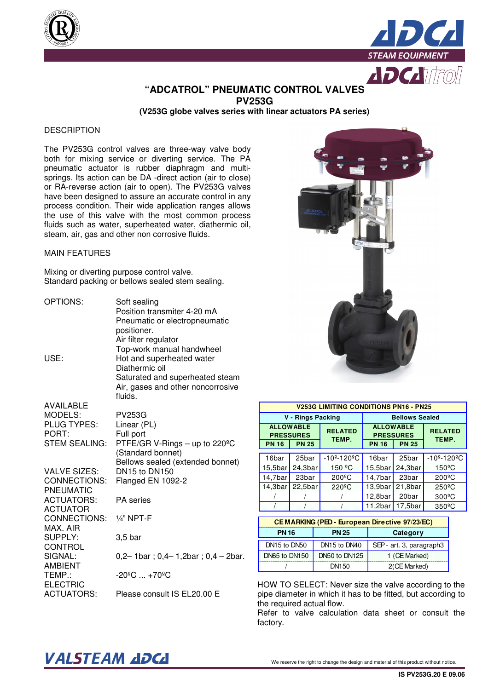



### **"ADCATROL" PNEUMATIC CONTROL VALVES PV253G**

**(V253G globe valves series with linear actuators PA series)** 

### **DESCRIPTION**

The PV253G control valves are three-way valve body both for mixing service or diverting service. The PA pneumatic actuator is rubber diaphragm and multisprings. Its action can be DA -direct action (air to close) or RA-reverse action (air to open). The PV253G valves have been designed to assure an accurate control in any process condition. Their wide application ranges allows the use of this valve with the most common process fluids such as water, superheated water, diathermic oil, steam, air, gas and other non corrosive fluids.

#### MAIN FEATURES

Mixing or diverting purpose control valve. Standard packing or bellows sealed stem sealing.

| OPTIONS:                                                                    | Soft sealing<br>Position transmiter 4-20 mA<br>Pneumatic or electropneumatic<br>positioner.<br>Air filter regulator                                         |
|-----------------------------------------------------------------------------|-------------------------------------------------------------------------------------------------------------------------------------------------------------|
| USE:                                                                        | Top-work manual handwheel<br>Hot and superheated water<br>Diathermic oil<br>Saturated and superheated steam<br>Air, gases and other noncorrosive<br>fluids. |
| <b>AVAILABLE</b><br>MODELS:<br>PLUG TYPES:<br>PORT:<br><b>STEM SEALING:</b> | <b>PV253G</b><br>Linear (PL)<br>Full port<br>PTFE/GR V-Rings - up to 220°C<br>(Standard bonnet)<br>Bellows sealed (extended bonnet)                         |
| <b>VALVE SIZES:</b><br>CONNECTIONS:<br><b>PNEUMATIC</b>                     | DN15 to DN150<br>Flanged EN 1092-2                                                                                                                          |
| <b>ACTUATORS:</b><br><b>ACTUATOR</b>                                        | <b>PA</b> series                                                                                                                                            |
| CONNECTIONS:<br>MAX. AIR                                                    | $1/4$ " NPT-F                                                                                                                                               |
| SUPPLY:<br>CONTROL                                                          | 3,5 bar                                                                                                                                                     |
| SIGNAL:<br><b>AMBIENT</b>                                                   | $0,2-1$ bar; $0,4-1,2$ bar; $0,4-2$ bar.                                                                                                                    |
| TEMP.:<br><b>ELECTRIC</b>                                                   | $-20^{\circ}$ C $+70^{\circ}$ C                                                                                                                             |
| <b>ACTUATORS:</b>                                                           | Please consult IS EL20.00 E                                                                                                                                 |



| <b>V253G LIMITING CONDITIONS PN16 - PN25</b> |                                      |                                                      |                       |                                      |                          |  |  |  |  |  |  |
|----------------------------------------------|--------------------------------------|------------------------------------------------------|-----------------------|--------------------------------------|--------------------------|--|--|--|--|--|--|
|                                              | V - Rings Packing                    |                                                      | <b>Bellows Sealed</b> |                                      |                          |  |  |  |  |  |  |
|                                              | <b>ALLOWABLE</b><br><b>PRESSURES</b> | <b>RELATED</b><br>TEMP.                              |                       | <b>ALLOWABLE</b><br><b>PRESSURES</b> | <b>RELATED</b><br>TEMP.  |  |  |  |  |  |  |
| <b>PN 16</b>                                 | <b>PN 25</b>                         |                                                      | <b>PN 16</b>          | <b>PN 25</b>                         |                          |  |  |  |  |  |  |
| 16bar                                        | 25bar                                | $-10^{\circ} - 120^{\circ}$ C                        | 16bar                 | 25bar                                | -10º-120ºC               |  |  |  |  |  |  |
| 15,5 <sub>bar</sub>                          | 24,3 <sub>bar</sub>                  | 150 °C                                               | 15,5 <sub>bar</sub>   | 24,3 <sub>bar</sub>                  | 150 <sup>°</sup> C       |  |  |  |  |  |  |
| 14,7bar                                      | 23bar                                | $200^{\circ}$ C                                      | 14,7bar               | 23bar                                | $200^{\circ}$ C          |  |  |  |  |  |  |
| 14,3 <sub>bar</sub>                          | 22,5 <sub>bar</sub>                  | $220^{\circ}$ C                                      | 13.9 <sub>bar</sub>   | 21,8bar                              | $250^{\circ}$ C          |  |  |  |  |  |  |
|                                              |                                      |                                                      | 12,8bar               | 20bar                                | $300^{\circ}$ C          |  |  |  |  |  |  |
|                                              |                                      |                                                      | 11,2 <sub>bar</sub>   | 17.5 <sub>bar</sub>                  | $350^{\circ}$ C          |  |  |  |  |  |  |
|                                              |                                      | <b>CEMARKING (PED - European Directive 97/23/EC)</b> |                       |                                      |                          |  |  |  |  |  |  |
| <b>PN 16</b>                                 |                                      | <b>PN 25</b>                                         |                       | Category                             |                          |  |  |  |  |  |  |
| DN15 to DN50                                 |                                      | DN15 to DN40                                         |                       |                                      | SEP - art. 3, paragraph3 |  |  |  |  |  |  |
| DN65 to DN150                                |                                      | DN50 to DN125                                        |                       | 1 (CE Marked)                        |                          |  |  |  |  |  |  |

HOW TO SELECT: Never size the valve according to the pipe diameter in which it has to be fitted, but according to the required actual flow.

/ DN150 2(CE Marked)

Refer to valve calculation data sheet or consult the factory.

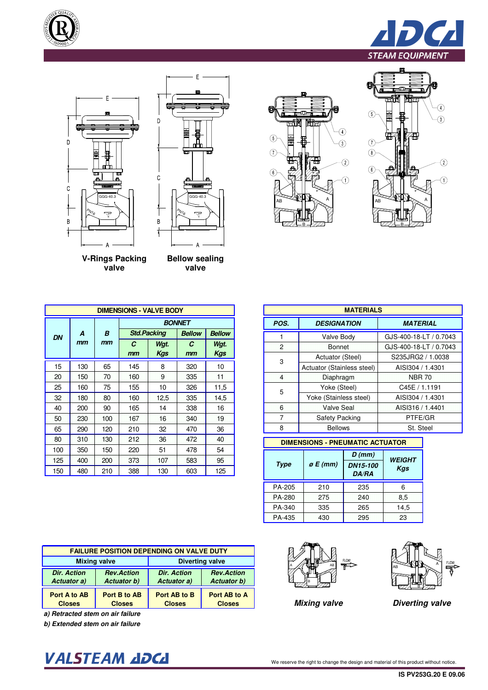







**V-Rings Packing valve** 

**B mm Std.Packing DN <sup>A</sup>**

**mm**

**C mm**

15 | 130 | 65 | 145 | 8 | 320 | 10 20 | 150 | 70 | 160 | 9 | 335 | 11 25 160 75 155 10 326 11,5 32 | 180 | 80 | 160 | 12,5 | 335 | 14,5 40 | 200 | 90 | 165 | 14 | 338 | 16 50 230 100 167 16 340 19 65 | 290 | 120 | 210 | 32 | 470 | 36 80 | 310 | 130 | 212 | 36 | 472 | 40 100 | 350 | 150 | 220 | 51 | 478 | 54 125 | 400 | 200 | 373 | 107 | 583 | 95 150 480 210 388 130 603 125

**DIMENSIONS - VALVE BODY**

**Wgt. Kgs**

**Bellow sealing valve** 

Г





| <b>BODY</b> |               |               |                                 | <b>MATERIALS</b>           |                        |
|-------------|---------------|---------------|---------------------------------|----------------------------|------------------------|
|             | <b>BONNET</b> |               | POS.                            | <b>DESIGNATION</b>         | <b>MATERIAL</b>        |
| q           | <b>Bellow</b> | <b>Bellow</b> |                                 | Valve Body                 | GJS-400-18-LT / 0.7043 |
| ıt.         | C             | Wgt.          | $\overline{2}$<br><b>Bonnet</b> |                            | GJS-400-18-LT / 0.7043 |
| 1S          | $mm$          | Kgs           | 3                               | Actuator (Steel)           | S235JRG2 / 1.0038      |
|             | 320           | 10            |                                 | Actuator (Stainless steel) | AISI304 / 1.4301       |
|             | 335           | 11            | $\overline{4}$                  | Diaphragm                  | <b>NBR 70</b>          |
| n           | 326           | 11,5          | 5                               | Yoke (Steel)               | C45E / 1.1191          |
| ,5          | 335           | 14.5          |                                 | Yoke (Stainless steel)     | AISI304 / 1.4301       |
| 4           | 338           | 16            | 6                               | <b>Valve Seal</b>          | AISI316 / 1.4401       |
| 6           | 340           | 19            | 7                               | Safety Packing             | PTFE/GR                |
| 2           | 470           | 36            | 8                               | <b>Bellows</b>             | St. Steel              |

### **DIMENSIONS - PNEUMATIC ACTUATOR**

| Type   | $\rho$ E (mm) | $D$ (mm)<br>DN15-100<br><b>DA/RA</b> | <b>WEIGHT</b><br>Kgs |
|--------|---------------|--------------------------------------|----------------------|
| PA-205 | 210           | 235                                  | 6                    |
| PA-280 | 275           | 240                                  | 8.5                  |
| PA-340 | 335           | 265                                  | 14.5                 |
| PA-435 | 430           | 295                                  | 23                   |

| <b>FAILURE POSITION DEPENDING ON VALVE DUTY</b> |                    |                    |                    |  |  |  |  |  |  |  |
|-------------------------------------------------|--------------------|--------------------|--------------------|--|--|--|--|--|--|--|
| <b>Diverting valve</b><br><b>Mixing valve</b>   |                    |                    |                    |  |  |  |  |  |  |  |
| <b>Dir. Action</b>                              | <b>Rev.Action</b>  | <b>Dir. Action</b> | <b>Rev.Action</b>  |  |  |  |  |  |  |  |
| Actuator a)                                     | <b>Actuator b)</b> | Actuator a)        | <b>Actuator b)</b> |  |  |  |  |  |  |  |
| Port A to AB                                    | Port B to AB       | Port AB to B       | Port AB to A       |  |  |  |  |  |  |  |
| <b>Closes</b>                                   | <b>Closes</b>      | <b>Closes</b>      | <b>Closes</b>      |  |  |  |  |  |  |  |

**a) Retracted stem on air failure**

**b) Extended stem on air failure**

## VALSTEAM ADCA We reserve the right to change the design and material of this product without notice.





**Mixing valve Diverting valve**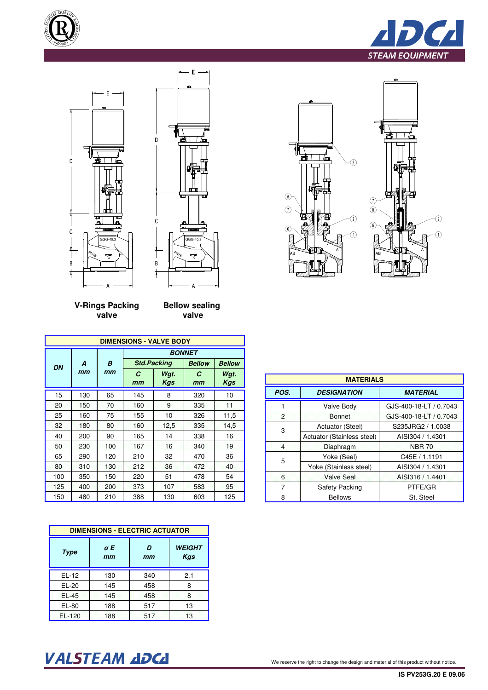





|                | <b>MATERIALS</b>           |                        |  |  |  |  |  |  |  |  |  |  |
|----------------|----------------------------|------------------------|--|--|--|--|--|--|--|--|--|--|
| POS.           | <b>DESIGNATION</b>         | <b>MATERIAL</b>        |  |  |  |  |  |  |  |  |  |  |
|                | Valve Body                 | GJS-400-18-LT / 0.7043 |  |  |  |  |  |  |  |  |  |  |
| $\overline{P}$ | <b>Bonnet</b>              | GJS-400-18-LT / 0.7043 |  |  |  |  |  |  |  |  |  |  |
| 3              | Actuator (Steel)           | S235JRG2 / 1.0038      |  |  |  |  |  |  |  |  |  |  |
|                | Actuator (Stainless steel) | AISI304 / 1.4301       |  |  |  |  |  |  |  |  |  |  |
| $\overline{4}$ | Diaphragm                  | <b>NBR 70</b>          |  |  |  |  |  |  |  |  |  |  |
| 5              | Yoke (Seel)                | C45E / 1.1191          |  |  |  |  |  |  |  |  |  |  |
|                | Yoke (Stainless steel)     | AISI304 / 1.4301       |  |  |  |  |  |  |  |  |  |  |
| 6              | <b>Valve Seal</b>          | AISI316 / 1.4401       |  |  |  |  |  |  |  |  |  |  |
| 7              | Safety Packing             | PTFE/GR                |  |  |  |  |  |  |  |  |  |  |
| 8              | <b>Bellows</b>             | St. Steel              |  |  |  |  |  |  |  |  |  |  |





E

**V-Rings Packing valve** 

**Bellow sealing valve** 

|           |     |     | <b>DIMENSIONS - VALVE BODY</b> |                    |               |                    |  |  |  |  |  |
|-----------|-----|-----|--------------------------------|--------------------|---------------|--------------------|--|--|--|--|--|
|           |     |     | <b>BONNET</b>                  |                    |               |                    |  |  |  |  |  |
| <b>DN</b> | A   | B   |                                | <b>Std.Packing</b> | <b>Bellow</b> | <b>Bellow</b>      |  |  |  |  |  |
|           | mm  | mm  | C<br>mm                        | Wgt.<br><b>Kgs</b> | C<br>mm       | Wgt.<br><b>Kgs</b> |  |  |  |  |  |
| 15        | 130 | 65  | 145                            | 8                  | 320           | 10                 |  |  |  |  |  |
| 20        | 150 | 70  | 160                            | 9                  | 335           | 11                 |  |  |  |  |  |
| 25        | 160 | 75  | 155                            | 10                 | 326           | 11,5               |  |  |  |  |  |
| 32        | 180 | 80  | 160                            | 12,5               | 335           | 14,5               |  |  |  |  |  |
| 40        | 200 | 90  | 165                            | 14                 | 338           | 16                 |  |  |  |  |  |
| 50        | 230 | 100 | 167                            | 16                 | 340           | 19                 |  |  |  |  |  |
| 65        | 290 | 120 | 210                            | 32                 | 470           | 36                 |  |  |  |  |  |
| 80        | 310 | 130 | 212                            | 36                 | 472           | 40                 |  |  |  |  |  |
| 100       | 350 | 150 | 220                            | 51                 | 478           | 54                 |  |  |  |  |  |
| 125       | 400 | 200 | 373                            | 107                | 583           | 95                 |  |  |  |  |  |
| 150       | 480 | 210 | 388                            | 130                | 603           | 125                |  |  |  |  |  |

| <b>DIMENSIONS - ELECTRIC ACTUATOR</b> |          |         |                      |  |  |  |  |  |  |  |
|---------------------------------------|----------|---------|----------------------|--|--|--|--|--|--|--|
| Type                                  | øE<br>mm | D<br>mm | <b>WEIGHT</b><br>Kgs |  |  |  |  |  |  |  |
| $EL-12$                               | 130      | 340     | 2,1                  |  |  |  |  |  |  |  |
| $EL-20$                               | 145      | 458     | 8                    |  |  |  |  |  |  |  |
| $EL-45$                               | 145      | 458     | 8                    |  |  |  |  |  |  |  |
| EL-80                                 | 188      | 517     | 13                   |  |  |  |  |  |  |  |
| $EL-120$                              | 188      | 517     | 13                   |  |  |  |  |  |  |  |

# VALSTEAM ADCA We reserve the right to change the design and material of this product without notice.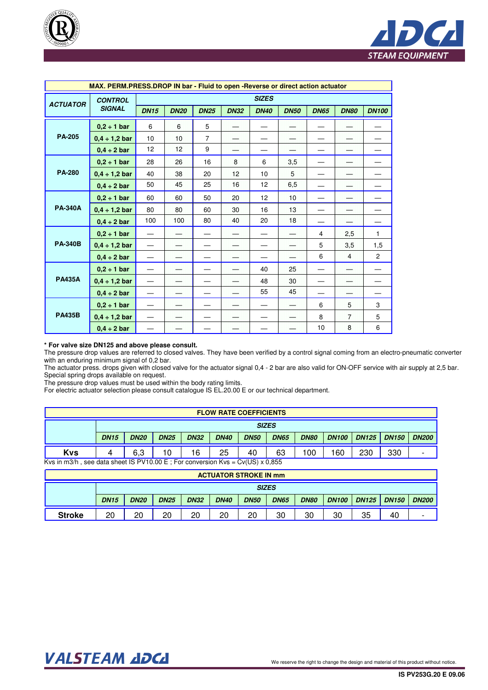



|                 | MAX. PERM.PRESS.DROP IN bar - Fluid to open -Reverse or direct action actuator |             |             |                |             |              |             |             |                |                |
|-----------------|--------------------------------------------------------------------------------|-------------|-------------|----------------|-------------|--------------|-------------|-------------|----------------|----------------|
|                 | <b>CONTROL</b>                                                                 |             |             |                |             | <b>SIZES</b> |             |             |                |                |
| <b>ACTUATOR</b> | <b>SIGNAL</b>                                                                  | <b>DN15</b> | <b>DN20</b> | <b>DN25</b>    | <b>DN32</b> | <b>DN40</b>  | <b>DN50</b> | <b>DN65</b> | <b>DN80</b>    | <b>DN100</b>   |
|                 | $0,2 \div 1$ bar                                                               | 6           | 6           | 5              |             |              |             |             |                |                |
| <b>PA-205</b>   | $0,4 \div 1,2$ bar                                                             | 10          | 10          | $\overline{7}$ |             |              |             |             |                |                |
|                 | $0.4 \div 2$ bar                                                               | 12          | 12          | 9              |             |              |             |             |                |                |
|                 | $0,2 \div 1$ bar                                                               | 28          | 26          | 16             | 8           | 6            | 3,5         |             |                |                |
| <b>PA-280</b>   | $0,4 \div 1,2$ bar                                                             | 40          | 38          | 20             | 12          | 10           | 5           |             |                |                |
|                 | $0,4 \div 2$ bar                                                               | 50          | 45          | 25             | 16          | 12           | 6,5         |             |                |                |
|                 | $0,2 \div 1$ bar                                                               | 60          | 60          | 50             | 20          | 12           | 10          |             |                |                |
| <b>PA-340A</b>  | $0,4 \div 1,2$ bar                                                             | 80          | 80          | 60             | 30          | 16           | 13          |             |                |                |
|                 | $0,4 \div 2$ bar                                                               | 100         | 100         | 80             | 40          | 20           | 18          |             |                |                |
|                 | $0,2 \div 1$ bar                                                               |             |             |                |             |              |             | 4           | 2,5            | $\mathbf{1}$   |
| <b>PA-340B</b>  | $0,4 \div 1,2$ bar                                                             |             |             |                |             |              |             | 5           | 3,5            | 1,5            |
|                 | $0.4 \div 2$ bar                                                               |             |             |                |             |              |             | 6           | $\overline{4}$ | $\overline{2}$ |
|                 | $0,2 \div 1$ bar                                                               |             |             |                |             | 40           | 25          |             |                |                |
| <b>PA435A</b>   | $0,4 \div 1,2$ bar                                                             |             |             |                |             | 48           | 30          |             |                |                |
|                 | $0.4 \div 2$ bar                                                               |             |             |                |             | 55           | 45          |             |                |                |
|                 | $0.2 \div 1$ bar                                                               |             |             |                |             |              |             | 6           | 5              | 3              |
| <b>PA435B</b>   | $0.4 \div 1.2$ bar                                                             |             |             |                |             |              |             | 8           | $\overline{7}$ | 5              |
|                 | $0.4 \div 2$ bar                                                               |             |             |                |             |              |             | 10          | 8              | 6              |

#### **\* For valve size DN125 and above please consult.**

The pressure drop values are referred to closed valves. They have been verified by a control signal coming from an electro-pneumatic converter with an enduring minimum signal of 0,2 bar.

The actuator press. drops given with closed valve for the actuator signal 0,4 - 2 bar are also valid for ON-OFF service with air supply at 2,5 bar. Special spring drops available on request.

The pressure drop values must be used within the body rating limits.

For electric actuator selection please consult catalogue IS EL.20.00 E or our technical department.

|                                                                                      | <b>FLOW RATE COEFFICIENTS</b> |             |             |             |             |             |             |             |              |              |              |              |  |
|--------------------------------------------------------------------------------------|-------------------------------|-------------|-------------|-------------|-------------|-------------|-------------|-------------|--------------|--------------|--------------|--------------|--|
| <b>SIZES</b>                                                                         |                               |             |             |             |             |             |             |             |              |              |              |              |  |
|                                                                                      | <b>DN15</b>                   | <b>DN20</b> | <b>DN25</b> | <b>DN32</b> | <b>DN40</b> | <b>DN50</b> | <b>DN65</b> | <b>DN80</b> | <b>DN100</b> | <b>DN125</b> | <b>DN150</b> | <b>DN200</b> |  |
| <b>Kvs</b>                                                                           |                               | 6.3         | 10          | 16          | 25          | 40          | 63          | 100         | 160          | 230          | 330          | -            |  |
| Kys in m3/h, see data sheet IS PV10.00 E; For conversion Kys = $Cv(US) \times 0.855$ |                               |             |             |             |             |             |             |             |              |              |              |              |  |

|               | <b>ACTUATOR STROKE IN mm</b> |             |             |             |             |             |             |             |              |              |              |              |
|---------------|------------------------------|-------------|-------------|-------------|-------------|-------------|-------------|-------------|--------------|--------------|--------------|--------------|
| <b>SIZES</b>  |                              |             |             |             |             |             |             |             |              |              |              |              |
|               | <b>DN15</b>                  | <b>DN20</b> | <b>DN25</b> | <b>DN32</b> | <b>DN40</b> | <b>DN50</b> | <b>DN65</b> | <b>DN80</b> | <b>DN100</b> | <b>DN125</b> | <b>DN150</b> | <b>DN200</b> |
| <b>Stroke</b> | 20                           | 20          | 20          | 20          | 20          | 20          | 30          | 30          | 30           | 35           | 40           |              |

### VALSTEAM ADCA We reserve the right to change the design and material of this product without notice.